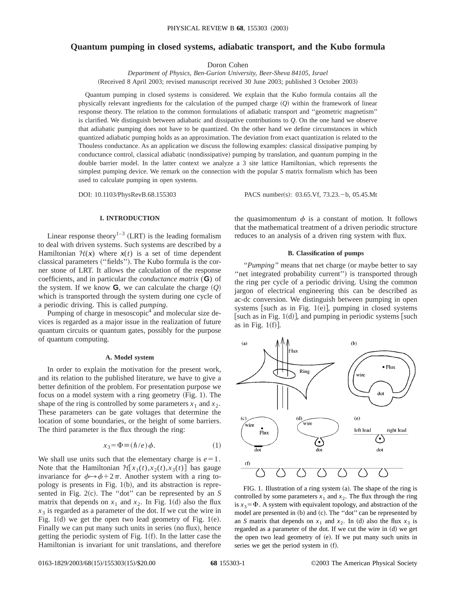# **Quantum pumping in closed systems, adiabatic transport, and the Kubo formula**

Doron Cohen

*Department of Physics, Ben-Gurion University, Beer-Sheva 84105, Israel* (Received 8 April 2003; revised manuscript received 30 June 2003; published 3 October 2003)

Quantum pumping in closed systems is considered. We explain that the Kubo formula contains all the physically relevant ingredients for the calculation of the pumped charge  $(Q)$  within the framework of linear response theory. The relation to the common formulations of adiabatic transport and ''geometric magnetism'' is clarified. We distinguish between adiabatic and dissipative contributions to *Q*. On the one hand we observe that adiabatic pumping does not have to be quantized. On the other hand we define circumstances in which quantized adiabatic pumping holds as an approximation. The deviation from exact quantization is related to the Thouless conductance. As an application we discuss the following examples: classical dissipative pumping by conductance control, classical adiabatic (nondissipative) pumping by translation, and quantum pumping in the double barrier model. In the latter context we analyze a 3 site lattice Hamiltonian, which represents the simplest pumping device. We remark on the connection with the popular *S* matrix formalism which has been used to calculate pumping in open systems.

DOI: 10.1103/PhysRevB.68.155303 PACS number(s): 03.65.Vf, 73.23. -b, 05.45.Mt

## **I. INTRODUCTION**

Linear response theory<sup>1-3</sup> (LRT) is the leading formalism to deal with driven systems. Such systems are described by a Hamiltonian  $H(x)$  where  $x(t)$  is a set of time dependent classical parameters ("fields"). The Kubo formula is the corner stone of LRT. It allows the calculation of the response coefficients, and in particular the *conductance matrix* (**G**) of the system. If we know **G**, we can calculate the charge  $(Q)$ which is transported through the system during one cycle of a periodic driving. This is called *pumping*.

Pumping of charge in mesoscopic $4$  and molecular size devices is regarded as a major issue in the realization of future quantum circuits or quantum gates, possibly for the purpose of quantum computing.

#### **A. Model system**

In order to explain the motivation for the present work, and its relation to the published literature, we have to give a better definition of the problem. For presentation purpose we focus on a model system with a ring geometry  $(Fig. 1)$ . The shape of the ring is controlled by some parameters  $x_1$  and  $x_2$ . These parameters can be gate voltages that determine the location of some boundaries, or the height of some barriers. The third parameter is the flux through the ring:

$$
x_3 = \Phi \equiv (\hbar/e)\,\phi. \tag{1}
$$

We shall use units such that the elementary charge is  $e=1$ . Note that the Hamiltonian  $\mathcal{H}[x_1(t), x_2(t), x_3(t)]$  has gauge invariance for  $\phi \rightarrow \phi + 2\pi$ . Another system with a ring topology is presents in Fig.  $1(b)$ , and its abstraction is represented in Fig.  $2(c)$ . The "dot" can be represented by an *S* matrix that depends on  $x_1$  and  $x_2$ . In Fig. 1(d) also the flux  $x<sub>3</sub>$  is regarded as a parameter of the dot. If we cut the wire in Fig.  $1(d)$  we get the open two lead geometry of Fig.  $1(e)$ . Finally we can put many such units in series (no flux), hence getting the periodic system of Fig.  $1(f)$ . In the latter case the Hamiltonian is invariant for unit translations, and therefore

the quasimomentum  $\phi$  is a constant of motion. It follows that the mathematical treatment of a driven periodic structure reduces to an analysis of a driven ring system with flux.

#### **B. Classification of pumps**

*''Pumping''* means that net charge (or maybe better to say "net integrated probability current") is transported through the ring per cycle of a periodic driving. Using the common jargon of electrical engineering this can be described as ac-dc conversion. We distinguish between pumping in open systems [such as in Fig. 1(e)], pumping in closed systems [such as in Fig. 1(d)], and pumping in periodic systems [such as in Fig.  $1(f)$ ].



FIG. 1. Illustration of a ring system  $(a)$ . The shape of the ring is controlled by some parameters  $x_1$  and  $x_2$ . The flux through the ring is  $x_3 = \Phi$ . A system with equivalent topology, and abstraction of the model are presented in  $(b)$  and  $(c)$ . The "dot" can be represented by an *S* matrix that depends on  $x_1$  and  $x_2$ . In (d) also the flux  $x_3$  is regarded as a parameter of the dot. If we cut the wire in (d) we get the open two lead geometry of  $(e)$ . If we put many such units in series we get the period system in (f).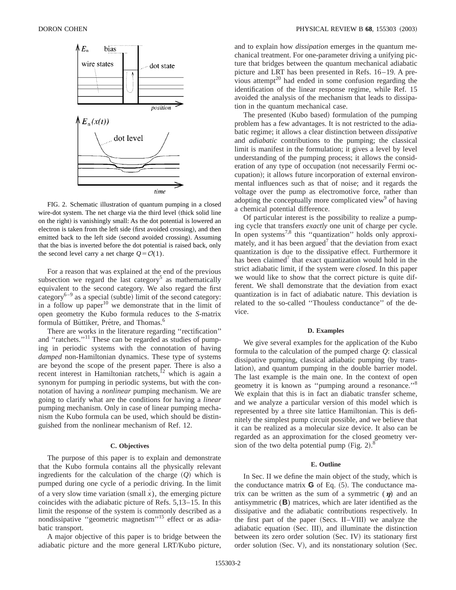

FIG. 2. Schematic illustration of quantum pumping in a closed wire-dot system. The net charge via the third level (thick solid line on the right) is vanishingly small: As the dot potential is lowered an electron is taken from the left side (first avoided crossing), and then emitted back to the left side (second avoided crossing). Assuming that the bias is inverted before the dot potential is raised back, only the second level carry a net charge  $Q = \mathcal{O}(1)$ .

For a reason that was explained at the end of the previous subsection we regard the last category<sup>5</sup> as mathematically equivalent to the second category. We also regard the first category<sup>6–9</sup> as a special (subtle) limit of the second category: in a follow up paper<sup>10</sup> we demonstrate that in the limit of open geometry the Kubo formula reduces to the *S*-matrix formula of Büttiker, Prétre, and Thomas.<sup>6</sup>

There are works in the literature regarding ''rectification'' and "ratchets."<sup>11</sup> These can be regarded as studies of pumping in periodic systems with the connotation of having *damped* non-Hamiltonian dynamics. These type of systems are beyond the scope of the present paper. There is also a recent interest in Hamiltonian ratchets,<sup>12</sup> which is again a synonym for pumping in periodic systems, but with the connotation of having a *nonlinear* pumping mechanism. We are going to clarify what are the conditions for having a *linear* pumping mechanism. Only in case of linear pumping mechanism the Kubo formula can be used, which should be distinguished from the nonlinear mechanism of Ref. 12.

#### **C. Objectives**

The purpose of this paper is to explain and demonstrate that the Kubo formula contains all the physically relevant ingredients for the calculation of the charge  $(Q)$  which is pumped during one cycle of a periodic driving. In the limit of a very slow time variation  $(small x)$ , the emerging picture coincides with the adiabatic picture of Refs. 5,13–15. In this limit the response of the system is commonly described as a nondissipative "geometric magnetism"<sup>15</sup> effect or as adiabatic transport.

A major objective of this paper is to bridge between the adiabatic picture and the more general LRT/Kubo picture, and to explain how *dissipation* emerges in the quantum mechanical treatment. For one-parameter driving a unifying picture that bridges between the quantum mechanical adiabatic picture and LRT has been presented in Refs. 16–19. A previous attempt<sup>20</sup> had ended in some confusion regarding the identification of the linear response regime, while Ref. 15 avoided the analysis of the mechanism that leads to dissipation in the quantum mechanical case.

The presented (Kubo based) formulation of the pumping problem has a few advantages. It is not restricted to the adiabatic regime; it allows a clear distinction between *dissipative* and *adiabatic* contributions to the pumping; the classical limit is manifest in the formulation; it gives a level by level understanding of the pumping process; it allows the consideration of any type of occupation (not necessarily Fermi occupation); it allows future incorporation of external environmental influences such as that of noise; and it regards the voltage over the pump as electromotive force, rather than adopting the conceptually more complicated view $9$  of having a chemical potential difference.

Of particular interest is the possibility to realize a pumping cycle that transfers *exactly* one unit of charge per cycle. In open systems<sup>7,8</sup> this "quantization" holds only approximately, and it has been argued<sup>7</sup> that the deviation from exact quantization is due to the dissipative effect. Furthermore it has been claimed<sup>7</sup> that exact quantization would hold in the strict adiabatic limit, if the system were *closed*. In this paper we would like to show that the correct picture is quite different. We shall demonstrate that the deviation from exact quantization is in fact of adiabatic nature. This deviation is related to the so-called ''Thouless conductance'' of the device.

### **D. Examples**

We give several examples for the application of the Kubo formula to the calculation of the pumped charge *Q*: classical dissipative pumping, classical adiabatic pumping (by translation), and quantum pumping in the double barrier model. The last example is the main one. In the context of open geometry it is known as ''pumping around a resonance.''8 We explain that this is in fact an diabatic transfer scheme, and we analyze a particular version of this model which is represented by a three site lattice Hamiltonian. This is definitely the simplest pump circuit possible, and we believe that it can be realized as a molecular size device. It also can be regarded as an approximation for the closed geometry version of the two delta potential pump (Fig. 2). $8^8$ 

## **E. Outline**

In Sec. II we define the main object of the study, which is the conductance matrix  $\bf{G}$  of Eq.  $(5)$ . The conductance matrix can be written as the sum of a symmetric  $(n)$  and an antisymmetric (**B**) matrices, which are later identified as the dissipative and the adiabatic contributions respectively. In the first part of the paper  $(Secs. II-VIII)$  we analyze the adiabatic equation (Sec. III), and illuminate the distinction between its zero order solution (Sec. IV) its stationary first order solution  $(Sec. V)$ , and its nonstationary solution  $(Sec. V)$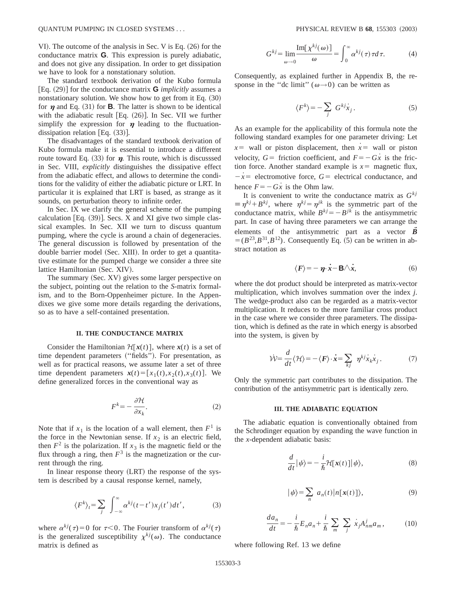VI). The outcome of the analysis in Sec. V is Eq.  $(26)$  for the conductance matrix **G**. This expression is purely adiabatic, and does not give any dissipation. In order to get dissipation we have to look for a nonstationary solution.

The standard textbook derivation of the Kubo formula  $[Eq. (29)]$  for the conductance matrix **G** *implicitly* assumes a nonstationary solution. We show how to get from it Eq.  $(30)$ for  $\eta$  and Eq. (31) for **B**. The latter is shown to be identical with the adiabatic result  $[Eq. (26)]$ . In Sec. VII we further simplify the expression for  $\eta$  leading to the fluctuationdissipation relation [Eq.  $(33)$ ].

The disadvantages of the standard textbook derivation of Kubo formula make it is essential to introduce a different route toward Eq.  $(33)$  for  $\eta$ . This route, which is discusssed in Sec. VIII, *explicitly* distinguishes the dissipative effect from the adiabatic effect, and allows to determine the conditions for the validity of either the adiabatic picture or LRT. In particular it is explained that LRT is based, as strange as it sounds, on perturbation theory to infinite order.

In Sec. IX we clarify the general scheme of the pumping calculation  $[Eq. (39)]$ . Secs. X and XI give two simple classical examples. In Sec. XII we turn to discuss quantum pumping, where the cycle is around a chain of degeneracies. The general discussion is followed by presentation of the double barrier model (Sec. XIII). In order to get a quantitative estimate for the pumped charge we consider a three site lattice Hamiltonian (Sec. XIV).

The summary (Sec. XV) gives some larger perspective on the subject, pointing out the relation to the *S*-matrix formalism, and to the Born-Oppenheimer picture. In the Appendixes we give some more details regarding the derivations, so as to have a self-contained presentation.

#### **II. THE CONDUCTANCE MATRIX**

Consider the Hamiltonian  $\mathcal{H}[\mathbf{x}(t)]$ , where  $\mathbf{x}(t)$  is a set of time dependent parameters ("fields"). For presentation, as well as for practical reasons, we assume later a set of three time dependent parameters  $\mathbf{x}(t) = [x_1(t), x_2(t), x_3(t)]$ . We define generalized forces in the conventional way as

$$
F^k = -\frac{\partial \mathcal{H}}{\partial x_k}.\tag{2}
$$

Note that if  $x_1$  is the location of a wall element, then  $F<sup>1</sup>$  is the force in the Newtonian sense. If  $x_2$  is an electric field, then  $F^2$  is the polarization. If  $x_3$  is the magnetic field or the flux through a ring, then  $F<sup>3</sup>$  is the magnetization or the current through the ring.

In linear response theory (LRT) the response of the system is described by a causal response kernel, namely,

$$
\langle F^k \rangle_t = \sum_j \int_{-\infty}^{\infty} \alpha^{kj} (t - t') x_j(t') dt', \tag{3}
$$

where  $\alpha^{kj}(\tau)=0$  for  $\tau<0$ . The Fourier transform of  $\alpha^{kj}(\tau)$ is the generalized susceptibility  $\chi^{kj}(\omega)$ . The conductance matrix is defined as

$$
G^{kj} = \lim_{\omega \to 0} \frac{\text{Im}[\chi^{kj}(\omega)]}{\omega} = \int_0^\infty \alpha^{kj}(\tau) \tau d\tau.
$$
 (4)

Consequently, as explained further in Appendix B, the response in the "dc limit" ( $\omega \rightarrow 0$ ) can be written as

$$
\langle F^k \rangle = -\sum_j G^{kj} \dot{x}_j. \tag{5}
$$

As an example for the applicability of this formula note the following standard examples for one parameter driving: Let  $x=$  wall or piston displacement, then  $\dot{x}$  = wall or piston velocity,  $G =$  friction coefficient, and  $F = -Gx$  is the friction force. Another standard example is  $x=$  magnetic flux,  $-x$ <sup> $=$ </sup> electromotive force,  $G$ <sup> $=$ </sup> electrical conductance, and hence  $F=-G\dot{x}$  is the Ohm law.

It is convenient to write the conductance matrix as  $G^{kj}$  $\equiv \eta^{kj} + B^{kj}$ , where  $\eta^{kj} = \eta^{jk}$  is the symmetric part of the conductance matrix, while  $B^{kj} = -B^{jk}$  is the antisymmetric part. In case of having three parameters we can arrange the elements of the antisymmetric part as a vector  $\vec{B}$  $=(B^{23},B^{31},B^{12})$ . Consequently Eq. (5) can be written in abstract notation as

$$
\langle F \rangle = -\eta \cdot \dot{x} - \mathbf{B} \wedge \dot{x}, \tag{6}
$$

where the dot product should be interpreted as matrix-vector multiplication, which involves summation over the index *j*. The wedge-product also can be regarded as a matrix-vector multiplication. It reduces to the more familiar cross product in the case where we consider three parameters. The dissipation, which is defined as the rate in which energy is absorbed into the system, is given by

$$
\dot{\mathcal{W}} = \frac{d}{dt} \langle \mathcal{H} \rangle = - \langle \mathbf{F} \rangle \cdot \dot{\mathbf{x}} = \sum_{kj} \eta^{kj} \dot{x}_k \dot{x}_j. \tag{7}
$$

Only the symmetric part contributes to the dissipation. The contribution of the antisymmetric part is identically zero.

#### **III. THE ADIABATIC EQUATION**

The adiabatic equation is conventionally obtained from the Schrodinger equation by expanding the wave function in the *x*-dependent adiabatic basis:

$$
\frac{d}{dt}|\psi\rangle = -\frac{i}{\hbar} \mathcal{H}[\mathbf{x}(t)]|\psi\rangle,\tag{8}
$$

$$
|\psi\rangle = \sum_{n} a_n(t) |n[x(t)]\rangle, \tag{9}
$$

$$
\frac{da_n}{dt} = -\frac{i}{\hbar}E_n a_n + \frac{i}{\hbar} \sum_m \sum_j \dot{x}_j A^j_{nm} a_m, \qquad (10)
$$

where following Ref. 13 we define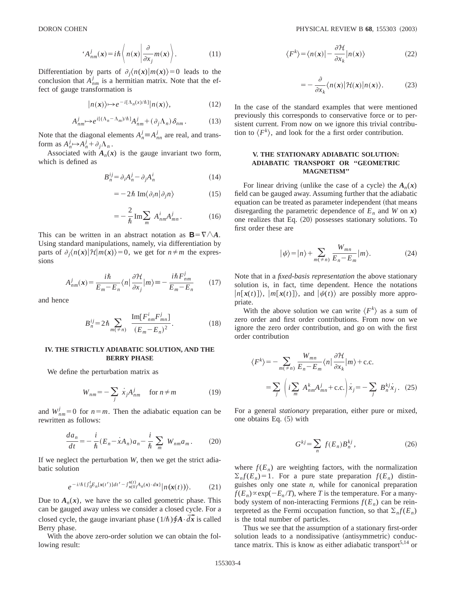$$
A_{nm}^j(\mathbf{x}) = i\hbar \left\langle n(\mathbf{x}) \left| \frac{\partial}{\partial x_j} m(\mathbf{x}) \right\rangle. \tag{11}
$$

Differentiation by parts of  $\partial_i \langle n(x)|m(x)\rangle = 0$  leads to the conclusion that  $A_{nm}^j$  is a hermitian matrix. Note that the effect of gauge transformation is

$$
|n(x)\rangle \mapsto e^{-i[\Lambda_n(x)/\hbar]}|n(x)\rangle, \tag{12}
$$

$$
A_{nm}^j \mapsto e^{i[(\Lambda_n - \Lambda_m)/\hbar]} A_{nm}^j + (\partial_j \Lambda_n) \delta_{nm} \,. \tag{13}
$$

Note that the diagonal elements  $A_n^j \equiv A_{nn}^j$  are real, and transform as  $A_n^j \rightarrow A_n^j + \partial_j \Lambda_n$ .

Associated with  $A_n(x)$  is the gauge invariant two form, which is defined as

$$
B_n^{ij} = \partial_i A_n^j - \partial_j A_n^i \tag{14}
$$

$$
= -2\hbar \operatorname{Im}\langle \partial_i n | \partial_j n \rangle \tag{15}
$$

$$
=-\frac{2}{\hslash}\operatorname{Im}\sum_{m}A_{nm}^{i}A_{mn}^{j}.
$$
 (16)

This can be written in an abstract notation as  $B=\nabla/\Delta A$ . Using standard manipulations, namely, via differentiation by parts of  $\partial_i \langle n(x)|H|m(x)\rangle = 0$ , we get for  $n \neq m$  the expressions

$$
A_{nm}^j(\mathbf{x}) = \frac{i\hbar}{E_m - E_n} \langle n | \frac{\partial \mathcal{H}}{\partial x_j} | m \rangle \equiv -\frac{i\hbar F_{nm}^j}{E_m - E_n} \qquad (17)
$$

and hence

$$
B_n^{ij} = 2\hbar \sum_{m(\neq n)} \frac{\text{Im}[F_{nm}^i F_{mn}^j]}{(E_m - E_n)^2}.
$$
 (18)

#### **IV. THE STRICTLY ADIABATIC SOLUTION, AND THE BERRY PHASE**

We define the perturbation matrix as

$$
W_{nm} = -\sum_{j} \dot{x}_{j} A_{nm}^{j} \quad \text{for } n \neq m \tag{19}
$$

and  $W_{nm}^{j} = 0$  for  $n = m$ . Then the adiabatic equation can be rewritten as follows:

$$
\frac{da_n}{dt} = -\frac{i}{\hbar} (E_n - \dot{x}A_n) a_n - \frac{i}{\hbar} \sum_m W_{nm} a_m.
$$
 (20)

If we neglect the perturbation *W*, then we get the strict adiabatic solution

$$
e^{-i/\hbar \{\int_{0}^{t} E_{n}[x(t')]dt' - \int_{x(0)}^{x(t)} A_{n}(x) \cdot dx\}} |n(\mathbf{x}(t))\rangle. \tag{21}
$$

Due to  $A_n(x)$ , we have the so called geometric phase. This can be gauged away unless we consider a closed cycle. For a closed cycle, the gauge invariant phase  $(1/\hbar)\oint A \cdot d\vec{x}$  is called Berry phase.

With the above zero-order solution we can obtain the following result:

$$
\langle F^k \rangle = \langle n(x) | - \frac{\partial \mathcal{H}}{\partial x_k} | n(x) \rangle \tag{22}
$$

$$
=-\frac{\partial}{\partial x_k}\langle n(x)|\mathcal{H}(x)|n(x)\rangle.
$$
 (23)

In the case of the standard examples that were mentioned previously this corresponds to conservative force or to persistent current. From now on we ignore this trivial contribution to  $\langle F^k \rangle$ , and look for the a first order contribution.

# **V. THE STATIONARY ADIABATIC SOLUTION: ADIABATIC TRANSPORT OR ''GEOMETRIC MAGNETISM''**

For linear driving (unlike the case of a cycle) the  $A_n(x)$ field can be gauged away. Assuming further that the adiabatic equation can be treated as parameter independent (that means disregarding the parametric dependence of  $E_n$  and *W* on *x*) one realizes that Eq.  $(20)$  possesses stationary solutions. To first order these are

$$
|\psi\rangle = |n\rangle + \sum_{m(\neq n)} \frac{W_{mn}}{E_n - E_m} |m\rangle.
$$
 (24)

Note that in a *fixed-basis representation* the above stationary solution is, in fact, time dependent. Hence the notations  $|n[x(t)]\rangle$ ,  $|m[x(t)]\rangle$ , and  $|\psi(t)\rangle$  are possibly more appropriate.

With the above solution we can write  $\langle F^k \rangle$  as a sum of zero order and first order contributions. From now on we ignore the zero order contribution, and go on with the first order contribution

$$
\langle F^k \rangle = -\sum_{m(\neq n)} \frac{W_{mn}}{E_n - E_m} \langle n | \frac{\partial \mathcal{H}}{\partial x_k} | m \rangle + \text{c.c.}
$$

$$
= \sum_j \left( i \sum_m A^k_{nm} A^j_{mn} + \text{c.c.} \right) \dot{x}_j = -\sum_j B^{kj}_{n} \dot{x}_j. \quad (25)
$$

For a general *stationary* preparation, either pure or mixed, one obtains Eq.  $(5)$  with

$$
G^{kj} = \sum_{n} f(E_n) B_n^{kj}, \qquad (26)
$$

where  $f(E_n)$  are weighting factors, with the normalization  $\sum_{n} f(E_n) = 1$ . For a pure state preparation  $f(E_n)$  distinguishes only one state *n*, while for canonical preparation  $f(E_n) \propto \exp(-E_n / T)$ , where *T* is the temperature. For a manybody system of non-interacting Fermions  $f(E_n)$  can be reinterpreted as the Fermi occupation function, so that  $\sum_{n} f(E_n)$ is the total number of particles.

Thus we see that the assumption of a stationary first-order solution leads to a nondissipative (antisymmetric) conductance matrix. This is know as either adiabatic transport<sup>5,14</sup> or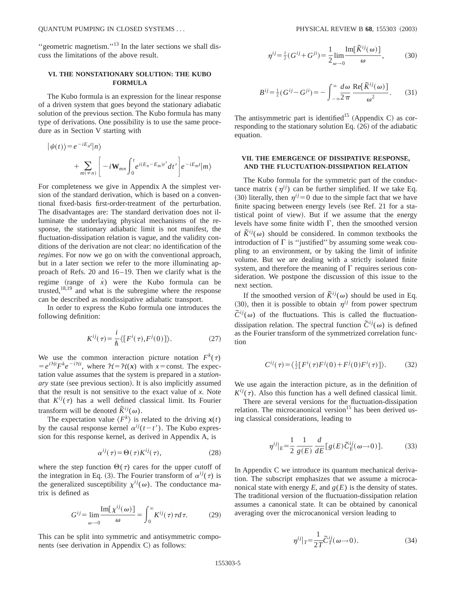"geometric magnetism."<sup>13</sup> In the later sections we shall discuss the limitations of the above result.

# **VI. THE NONSTATIONARY SOLUTION: THE KUBO FORMULA**

The Kubo formula is an expression for the linear response of a driven system that goes beyond the stationary adiabatic solution of the previous section. The Kubo formula has many type of derivations. One possibility is to use the same procedure as in Section V starting with

$$
\begin{aligned} \left| \psi(t) \right\rangle &= e^{-iE_n t} |n \rangle \\ &+ \sum_{m(\neq n)} \left[ -i \mathbf{W}_{mn} \int_0^t e^{i(E_n - E_m)t'} dt' \right] e^{-iE_m t} |m \rangle \end{aligned}
$$

For completeness we give in Appendix A the simplest version of the standard derivation, which is based on a conventional fixed-basis first-order-treatment of the perturbation. The disadvantages are: The standard derivation does not illuminate the underlaying physical mechanisms of the response, the stationary adiabatic limit is not manifest, the fluctuation-dissipation relation is vague, and the validity conditions of the derivation are not clear: no identification of the *regimes*. For now we go on with the conventional approach, but in a later section we refer to the more illuminating approach of Refs. 20 and 16–19. Then we clarify what is the regime (range of  $\dot{x}$ ) were the Kubo formula can be trusted,18,19 and what is the subregime where the response can be described as nondissipative adiabatic transport.

In order to express the Kubo formula one introduces the following definition:

$$
K^{ij}(\tau) = \frac{i}{\hbar} \langle [F^i(\tau), F^j(0)] \rangle.
$$
 (27)

We use the common interaction picture notation  $F^k(\tau)$  $= e^{i\mathcal{H}t} F^k e^{-i\mathcal{H}t}$ , where  $\mathcal{H} = \mathcal{H}(x)$  with *x* = const. The expectation value assumes that the system is prepared in a *stationary* state (see previous section). It is also implicitly assumed that the result is not sensitive to the exact value of *x*. Note that  $K^{ij}(\tau)$  has a well defined classical limit. Its Fourier transform will be denoted  $\tilde{K}^{ij}(\omega)$ .

The expectation value  $\langle F^k \rangle$  is related to the driving  $x(t)$ by the causal response kernel  $\alpha^{ij}(t-t')$ . The Kubo expression for this response kernel, as derived in Appendix A, is

$$
\alpha^{ij}(\tau) = \Theta(\tau) K^{ij}(\tau),\tag{28}
$$

where the step function  $\Theta(\tau)$  cares for the upper cutoff of the integration in Eq. (3). The Fourier transform of  $\alpha^{ij}(\tau)$  is the generalized susceptibility  $\chi^{ij}(\omega)$ . The conductance matrix is defined as

$$
G^{ij} = \lim_{\omega \to 0} \frac{\text{Im}[\chi^{ij}(\omega)]}{\omega} = \int_0^\infty K^{ij}(\tau) \tau d\tau.
$$
 (29)

This can be split into symmetric and antisymmetric components (see derivation in Appendix C) as follows:

$$
\eta^{ij} = \frac{1}{2} \left( G^{ij} + G^{ji} \right) = \frac{1}{2} \lim_{\omega \to 0} \frac{\text{Im}[\tilde{K}^{ij}(\omega)]}{\omega},\tag{30}
$$

$$
B^{ij} = \frac{1}{2}(G^{ij} - G^{ji}) = -\int_{-\infty}^{\infty} \frac{d\omega}{2\pi} \frac{\text{Re}[\tilde{K}^{ij}(\omega)]}{\omega^2}.
$$
 (31)

The antisymmetric part is identified<sup>15</sup> (Appendix C) as corresponding to the stationary solution Eq.  $(26)$  of the adiabatic equation.

# **VII. THE EMERGENCE OF DISSIPATIVE RESPONSE, AND THE FLUCTUATION-DISSIPATION RELATION**

The Kubo formula for the symmetric part of the conductance matrix  $(\eta^{ij})$  can be further simplified. If we take Eq. (30) literally, then  $\eta^{ij}=0$  due to the simple fact that we have finite spacing between energy levels (see Ref. 21 for a statistical point of view). But if we assume that the energy levels have some finite width  $\Gamma$ , then the smoothed version of  $\tilde{K}^{ij}(\omega)$  should be considered. In common textbooks the introduction of  $\Gamma$  is "justified" by assuming some weak coupling to an environment, or by taking the limit of infinite volume. But we are dealing with a strictly isolated finite system, and therefore the meaning of  $\Gamma$  requires serious consideration. We postpone the discussion of this issue to the next section.

If the smoothed version of  $\tilde{K}^{ij}(\omega)$  should be used in Eq.  $(30)$ , then it is possible to obtain  $\eta^{ij}$  from power spectrum  $\tilde{C}^{ij}(\omega)$  of the fluctuations. This is called the fluctuationdissipation relation. The spectral function  $\tilde{C}^{ij}(\omega)$  is defined as the Fourier transform of the symmetrized correlation function

$$
C^{ij}(\tau) = \langle \frac{1}{2} [F^i(\tau) F^j(0) + F^j(0) F^i(\tau)] \rangle. \tag{32}
$$

We use again the interaction picture, as in the definition of  $K^{ij}(\tau)$ . Also this function has a well defined classical limit.

There are several versions for the fluctuation-dissipation relation. The microcanonical version<sup>15</sup> has been derived using classical considerations, leading to

$$
\eta^{ij}|_E = \frac{1}{2} \frac{1}{g(E)} \frac{d}{dE} [g(E) \widetilde{C}_E^{ij}(\omega \to 0)]. \tag{33}
$$

In Appendix C we introduce its quantum mechanical derivation. The subscript emphasizes that we assume a microcanonical state with energy  $E$ , and  $g(E)$  is the density of states. The traditional version of the fluctuation-dissipation relation assumes a canonical state. It can be obtained by canonical averaging over the microcanonical version leading to

$$
\eta^{ij}|_{T} = \frac{1}{2T}\tilde{C}_{T}^{ij}(\omega \to 0). \tag{34}
$$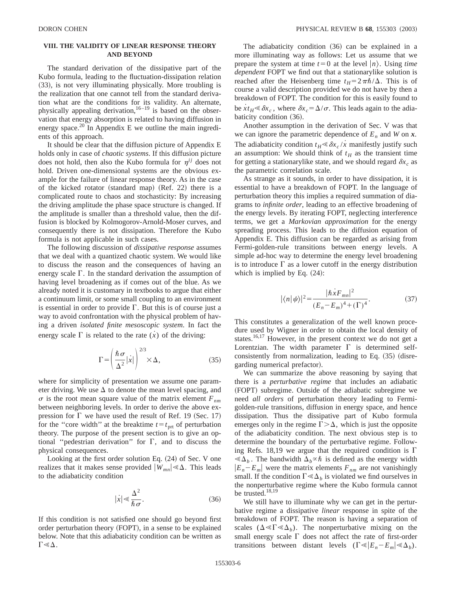# **VIII. THE VALIDITY OF LINEAR RESPONSE THEORY AND BEYOND**

The standard derivation of the dissipative part of the Kubo formula, leading to the fluctuation-dissipation relation (33), is not very illuminating physically. More troubling is the realization that one cannot tell from the standard derivation what are the conditions for its validity. An alternate, physically appealing derivation, $16-19$  is based on the observation that energy absorption is related to having diffusion in energy space.<sup>20</sup> In Appendix E we outline the main ingredients of this approach.

It should be clear that the diffusion picture of Appendix E holds only in case of *chaotic systems*. If this diffusion picture does not hold, then also the Kubo formula for  $\eta^{ij}$  does not hold. Driven one-dimensional systems are the obvious example for the failure of linear response theory. As in the case of the kicked rotator (standard map)  $(Ref. 22)$  there is a complicated route to chaos and stochasticity: By increasing the driving amplitude the phase space structure is changed. If the amplitude is smaller than a threshold value, then the diffusion is blocked by Kolmogorov-Arnold-Moser curves, and consequently there is not dissipation. Therefore the Kubo formula is not applicable in such cases.

The following discussion of *dissipative response* assumes that we deal with a quantized chaotic system. We would like to discuss the reason and the consequences of having an energy scale  $\Gamma$ . In the standard derivation the assumption of having level broadening as if comes out of the blue. As we already noted it is customary in textbooks to argue that either a continuum limit, or some small coupling to an environment is essential in order to provide  $\Gamma$ . But this is of course just a way to avoid confrontation with the physical problem of having a driven *isolated finite mesoscopic system*. In fact the energy scale  $\Gamma$  is related to the rate  $(\dot{x})$  of the driving:

$$
\Gamma = \left(\frac{\hbar \sigma}{\Delta^2}|\dot{x}|\right)^{2/3} \times \Delta,\tag{35}
$$

where for simplicity of presentation we assume one parameter driving. We use  $\Delta$  to denote the mean level spacing, and  $\sigma$  is the root mean square value of the matrix element  $F_{nm}$ between neighboring levels. In order to derive the above expression for  $\Gamma$  we have used the result of Ref. 19 (Sec. 17) for the "core width" at the breaktime  $t = t_{\text{ort}}$  of perturbation theory. The purpose of the present section is to give an optional "pedestrian derivation" for  $\Gamma$ , and to discuss the physical consequences.

Looking at the first order solution Eq.  $(24)$  of Sec. V one realizes that it makes sense provided  $|W_{mn}| \leq \Delta$ . This leads to the adiabaticity condition

$$
|\dot{x}| \ll \frac{\Delta^2}{\hbar \sigma}.
$$
 (36)

If this condition is not satisfied one should go beyond first order perturbation theory (FOPT), in a sense to be explained below. Note that this adiabaticity condition can be written as  $\Gamma \ll \Delta$ .

The adiabaticity condition  $(36)$  can be explained in a more illuminating way as follows: Let us assume that we prepare the system at time  $t=0$  at the level  $|n\rangle$ . Using *time dependent* FOPT we find out that a stationarylike solution is reached after the Heisenberg time  $t_H = 2\pi\hbar/\Delta$ . This is of course a valid description provided we do not have by then a breakdown of FOPT. The condition for this is easily found to be  $xt_H \le \delta x_c$ , where  $\delta x_c = \Delta/\sigma$ . This leads again to the adiabaticity condition  $(36)$ .

Another assumption in the derivation of Sec. V was that we can ignore the parametric dependence of  $E_n$  and *W* on  $x$ . The adiabaticity condition  $t_H \ll \delta x_c / \dot{x}$  manifestly justify such an assumption: We should think of  $t_H$  as the transient time for getting a stationarylike state, and we should regard  $\delta x_c$  as the parametric correlation scale.

As strange as it sounds, in order to have dissipation, it is essential to have a breakdown of FOPT. In the language of perturbation theory this implies a required summation of diagrams to *infinite order*, leading to an effective broadening of the energy levels. By iterating FOPT, neglecting interference terms, we get a *Markovian approximation* for the energy spreading process. This leads to the diffusion equation of Appendix E. This diffusion can be regarded as arising from Fermi-golden-rule transitions between energy levels. A simple ad-hoc way to determine the energy level broadening is to introduce  $\Gamma$  as a lower cutoff in the energy distribution which is implied by Eq.  $(24)$ :

$$
|\langle n|\psi\rangle|^2 = \frac{|\hbar x F_{mn}|^2}{(E_n - E_m)^4 + (\Gamma)^4}.
$$
 (37)

This constitutes a generalization of the well known procedure used by Wigner in order to obtain the local density of states.<sup>16,17</sup> However, in the present context we do not get a Lorentzian. The width parameter  $\Gamma$  is determined selfconsistently from normalization, leading to Eq.  $(35)$  (disregarding numerical prefactor).

We can summarize the above reasoning by saying that there is a *perturbative regime* that includes an adiabatic (FOPT) subregime. Outside of the adiabatic subregime we need *all orders* of perturbation theory leading to Fermigolden-rule transitions, diffusion in energy space, and hence dissipation. Thus the dissipative part of Kubo formula emerges only in the regime  $\Gamma > \Delta$ , which is just the opposite of the adiabaticity condition. The next obvious step is to determine the boundary of the perturbative regime. Following Refs. 18,19 we argue that the required condition is  $\Gamma$  $\ll \Delta_b$ . The bandwidth  $\Delta_b \propto \hbar$  is defined as the energy width  $|E_n - E_m|$  were the matrix elements  $F_{nm}$  are not vanishingly small. If the condition  $\Gamma \ll \Delta_b$  is violated we find ourselves in the nonperturbative regime where the Kubo formula cannot be trusted.<sup>18,19</sup>

We still have to illuminate why we can get in the perturbative regime a dissipative *linear* response in spite of the breakdown of FOPT. The reason is having a separation of scales  $(\Delta \ll \Gamma \ll \Delta_b)$ . The nonperturbative mixing on the small energy scale  $\Gamma$  does not affect the rate of first-order transitions between distant levels  $(\Gamma \ll |E_n - E_m| \ll \Delta_b)$ .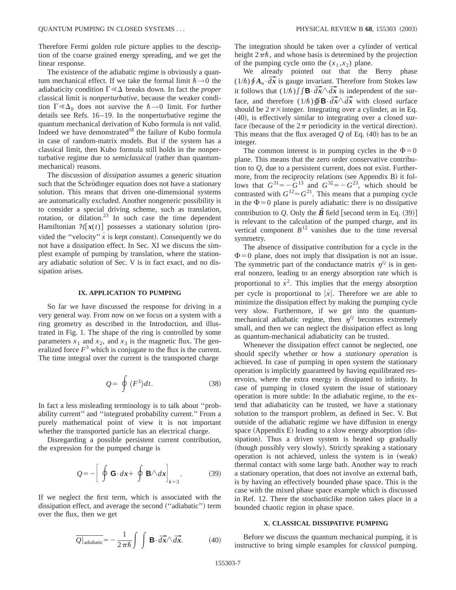Therefore Fermi golden rule picture applies to the description of the coarse grained energy spreading, and we get the linear response.

The existence of the adiabatic regime is obviously a quantum mechanical effect. If we take the formal limit  $\hbar \rightarrow 0$  the adiabaticity condition  $\Gamma \ll \Delta$  breaks down. In fact the *proper* classical limit is *nonperturbative*, because the weaker condition  $\Gamma \ll \Delta_b$  does not survive the  $\hbar \rightarrow 0$  limit. For further details see Refs. 16–19. In the nonperturbative regime the quantum mechanical derivation of Kubo formula is not valid. Indeed we have demonstrated $18$  the failure of Kubo formula in case of random-matrix models. But if the system has a classical limit, then Kubo formula still holds in the nonperturbative regime due to *semiclassical* (rather than quantummechanical) reasons.

The discussion of *dissipation* assumes a generic situation such that the Schrödinger equation does not have a stationary solution. This means that driven one-dimensional systems are automatically excluded. Another nongeneric possibility is to consider a special driving scheme, such as translation, rotation, or dilation. $^{23}$  In such case the time dependent Hamiltonian  $\mathcal{H}[\mathbf{x}(t)]$  possesses a stationary solution (provided the "velocity"  $\dot{x}$  is kept constant). Consequently we do not have a dissipation effect. In Sec. XI we discuss the simplest example of pumping by translation, where the stationary adiabatic solution of Sec. V is in fact exact, and no dissipation arises.

### **IX. APPLICATION TO PUMPING**

So far we have discussed the response for driving in a very general way. From now on we focus on a system with a ring geometry as described in the Introduction, and illustrated in Fig. 1. The shape of the ring is controlled by some parameters  $x_1$  and  $x_2$ , and  $x_3$  is the magnetic flux. The generalized force  $F<sup>3</sup>$  which is conjugate to the flux is the current. The time integral over the current is the transported charge

$$
Q = \oint \langle F^3 \rangle dt. \tag{38}
$$

In fact a less misleading terminology is to talk about ''probability current'' and ''integrated probability current.'' From a purely mathematical point of view it is not important whether the transported particle has an electrical charge.

Disregarding a possible persistent current contribution, the expression for the pumped charge is

$$
Q = -\left[\oint \mathbf{G} \cdot d\mathbf{x} + \oint \mathbf{B} \wedge d\mathbf{x}\right]_{k=3}.
$$
 (39)

If we neglect the first term, which is associated with the dissipation effect, and average the second ("adiabatic") term over the flux, then we get

$$
\overline{Q|_{\text{adiabatic}}} = -\frac{1}{2\pi\hbar} \int \int \mathbf{B} \cdot d\overrightarrow{x} \wedge d\overrightarrow{x}.\tag{40}
$$

The integration should be taken over a cylinder of vertical height  $2\pi\hbar$ , and whose basis is determined by the projection of the pumping cycle onto the  $(x_1, x_2)$  plane.

We already pointed out that the Berry phase  $(1/\hbar) \oint A_n \cdot d\vec{x}$  is gauge invariant. Therefore from Stokes law it follows that  $(1/\hbar)\int \int \mathbf{B} \cdot d\vec{x} \wedge d\vec{x}$  is independent of the surface, and therefore  $(1/\hbar)\oint_{\mathbf{B}} \mathbf{B} \cdot d\vec{x} \wedge d\vec{x}$  with closed surface should be  $2\pi\times$  integer. Integrating over a cylinder, as in Eq.  $(40)$ , is effectively similar to integrating over a closed surface (because of the  $2\pi$  periodicity in the vertical direction). This means that the flux averaged  $Q$  of Eq.  $(40)$  has to be an integer.

The common interest is in pumping cycles in the  $\Phi=0$ plane. This means that the zero order conservative contribution to *Q*, due to a persistent current, does not exist. Furthermore, from the reciprocity relations (see Appendix B) it follows that  $G^{31} = -G^{13}$  and  $G^{32} = -G^{23}$ , which should be contrasted with  $G^{12}=G^{21}$ . This means that a pumping cycle in the  $\Phi$ =0 plane is purely adiabatic: there is no dissipative contribution to *Q*. Only the  $\vec{B}$  field [second term in Eq. (39)] is relevant to the calculation of the pumped charge, and its vertical component  $B<sup>12</sup>$  vanishes due to the time reversal symmetry.

The absence of dissipative contribution for a cycle in the  $\Phi$ =0 plane, does not imply that dissipation is not an issue. The symmetric part of the conductance matrix  $\eta^{ij}$  is in general nonzero, leading to an energy absorption rate which is proportional to  $\dot{x}^2$ . This implies that the energy absorption per cycle is proportional to  $|x|$ . Therefore we are able to minimize the dissipation effect by making the pumping cycle very slow. Furthermore, if we get into the quantummechanical adiabatic regime, then  $\eta^{ij}$  becomes extremely small, and then we can neglect the dissipation effect as long as quantum-mechanical adiabaticity can be trusted.

Whenever the dissipation effect cannot be neglected, one should specify whether or how a *stationary operation* is achieved. In case of pumping in open system the stationary operation is implicitly guaranteed by having equilibrated reservoirs, where the extra energy is dissipated to infinity. In case of pumping in closed system the issue of stationary operation is more subtle: In the adiabatic regime, to the extend that adiabaticity can be trusted, we have a stationary solution to the transport problem, as defined in Sec. V. But outside of the adiabatic regime we have diffusion in energy space (Appendix E) leading to a slow energy absorption (dissipation). Thus a driven system is heated up gradually (though possibly very slowly). Strictly speaking a stationary operation is not achieved, unless the system is in (weak) thermal contact with some large bath. Another way to reach a stationary operation, that does not involve an external bath, is by having an effectively bounded phase space. This is the case with the mixed phase space example which is discussed in Ref. 12. There the stochasticlike motion takes place in a bounded chaotic region in phase space.

#### **X. CLASSICAL DISSIPATIVE PUMPING**

Before we discuss the quantum mechanical pumping, it is instructive to bring simple examples for *classical* pumping.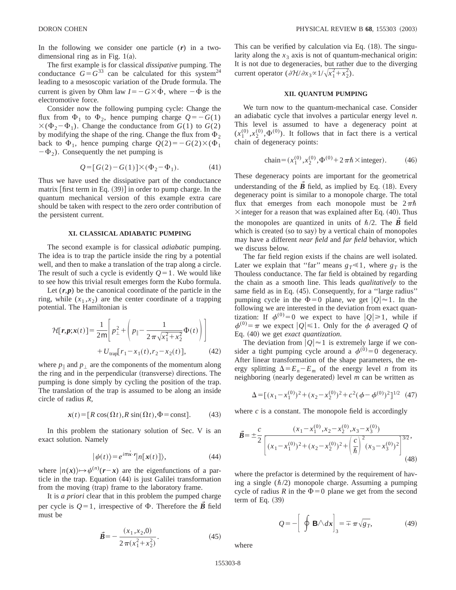In the following we consider one particle (*r*) in a twodimensional ring as in Fig.  $1(a)$ .

The first example is for classical *dissipative* pumping. The conductance  $G = G^{33}$  can be calculated for this system<sup>24</sup> leading to a mesoscopic variation of the Drude formula. The current is given by Ohm law  $I = -G \times \dot{\Phi}$ , where  $-\dot{\Phi}$  is the electromotive force.

Consider now the following pumping cycle: Change the flux from  $\Phi_1$  to  $\Phi_2$ , hence pumping charge  $Q=-G(1)$  $\times$ ( $\Phi_2 - \Phi_1$ ). Change the conductance from *G*(1) to *G*(2) by modifying the shape of the ring. Change the flux from  $\Phi_2$ back to  $\Phi_1$ , hence pumping charge  $Q(2) = -G(2) \times (\Phi_1)$  $-\Phi_2$ ). Consequently the net pumping is

$$
Q = [G(2) - G(1)] \times (\Phi_2 - \Phi_1). \tag{41}
$$

Thus we have used the dissipative part of the conductance matrix  $[$ first term in Eq.  $(39)$ ] in order to pump charge. In the quantum mechanical version of this example extra care should be taken with respect to the zero order contribution of the persistent current.

#### **XI. CLASSICAL ADIABATIC PUMPING**

The second example is for classical *adiabatic* pumping. The idea is to trap the particle inside the ring by a potential well, and then to make a translation of the trap along a circle. The result of such a cycle is evidently  $Q=1$ . We would like to see how this trivial result emerges form the Kubo formula.

Let  $(r, p)$  be the canonical coordinate of the particle in the ring, while  $(x_1, x_2)$  are the center coordinate of a trapping potential. The Hamiltonian is

$$
\mathcal{H}[\mathbf{r}, \mathbf{p}; \mathbf{x}(t)] = \frac{1}{2m} \Bigg[ p_{\perp}^2 + \Bigg( p_{\parallel} - \frac{1}{2\pi\sqrt{x_1^2 + x_2^2}} \Phi(t) \Bigg) \Bigg] + U_{\text{trap}} [r_1 - x_1(t), r_2 - x_2(t)], \tag{42}
$$

where  $p_{\parallel}$  and  $p_{\perp}$  are the components of the momentum along the ring and in the perpendicular (transverse) directions. The pumping is done simply by cycling the position of the trap. The translation of the trap is assumed to be along an inside circle of radius *R*,

$$
\mathbf{x}(t) = [R\cos(\Omega t), R\sin(\Omega t), \Phi = \text{const}].
$$
 (43)

In this problem the stationary solution of Sec. V is an exact solution. Namely

$$
|\psi(t)\rangle = e^{i\max \cdot r} |n[x(t)]\rangle, \qquad (44)
$$

where  $|n(x)\rangle \rightarrow \psi^{(n)}(r-x)$  are the eigenfunctions of a particle in the trap. Equation  $(44)$  is just Galilei transformation from the moving (trap) frame to the laboratory frame.

It is *a priori* clear that in this problem the pumped charge per cycle is  $Q=1$ , irrespective of  $\Phi$ . Therefore the *B* field must be

$$
\vec{B} = -\frac{(x_1, x_2, 0)}{2\pi(x_1^2 + x_2^2)}.
$$
 (45)

This can be verified by calculation via Eq.  $(18)$ . The singularity along the  $x_3$  axis is not of quantum-mechanical origin: It is not due to degeneracies, but rather due to the diverging current operator  $(\partial \mathcal{H}/\partial x_3 \propto 1/\sqrt{x_1^2 + x_2^2})$ .

### **XII. QUANTUM PUMPING**

We turn now to the quantum-mechanical case. Consider an adiabatic cycle that involves a particular energy level *n*. This level is assumed to have a degeneracy point at  $(x_1^{(0)}, x_2^{(0)}, \Phi^{(0)})$ . It follows that in fact there is a vertical chain of degeneracy points:

chain=(
$$
x_1^{(0)}, x_2^{(0)}, \Phi^{(0)}+2\pi\hbar\times \text{integer}).
$$
 (46)

These degeneracy points are important for the geometrical understanding of the  $\vec{B}$  field, as implied by Eq. (18). Every degeneracy point is similar to a monopole charge. The total flux that emerges from each monopole must be  $2\pi\hbar$  $\times$  integer for a reason that was explained after Eq. (40). Thus the monopoles are quantized in units of  $\hbar/2$ . The  $\vec{B}$  field which is created (so to say) by a vertical chain of monopoles may have a different *near field* and *far field* behavior, which we discuss below.

The far field region exists if the chains are well isolated. Later we explain that "far" means  $g_T \ll 1$ , where  $g_T$  is the Thouless conductance. The far field is obtained by regarding the chain as a smooth line. This leads *qualitatively* to the same field as in Eq. (45). Consequently, for a "large radius" pumping cycle in the  $\Phi=0$  plane, we get  $|Q|\approx 1$ . In the following we are interested in the deviation from exact quantization: If  $\phi^{(0)}=0$  we expect to have  $|Q|\geq 1$ , while if  $\phi^{(0)} = \pi$  we expect  $|Q| \le 1$ . Only for the  $\phi$  averaged *Q* of Eq.  $(40)$  we get *exact quantization*.

The deviation from  $|Q| \approx 1$  is extremely large if we consider a tight pumping cycle around a  $\phi^{(0)}=0$  degeneracy. After linear transformation of the shape parameters, the energy splitting  $\Delta = E_n - E_m$  of the energy level *n* from its neighboring (nearly degenerated) level  $m$  can be written as

$$
\Delta = \left[ (x_1 - x_1^{(0)})^2 + (x_2 - x_2^{(0)})^2 + c^2 (\phi - \phi^{(0)})^2 \right]^{1/2} \tag{47}
$$

where  $c$  is a constant. The monopole field is accordingly

$$
\vec{B} = \pm \frac{c}{2} \frac{(x_1 - x_1^{(0)}, x_2 - x_2^{(0)}, x_3 - x_3^{(0)})}{\left[ (x_1 - x_1^{(0)})^2 + (x_2 - x_2^{(0)})^2 + \left( \frac{c}{\hbar} \right)^2 (x_3 - x_3^{(0)})^2 \right]^{3/2}},
$$
\n(48)

where the prefactor is determined by the requirement of having a single  $(\hbar/2)$  monopole charge. Assuming a pumping cycle of radius *R* in the  $\Phi$ =0 plane we get from the second term of Eq.  $(39)$ 

$$
Q = -\left[\oint \mathbf{B} \wedge d\mathbf{x}\right]_3 = \mp \pi \sqrt{g_T},\tag{49}
$$

where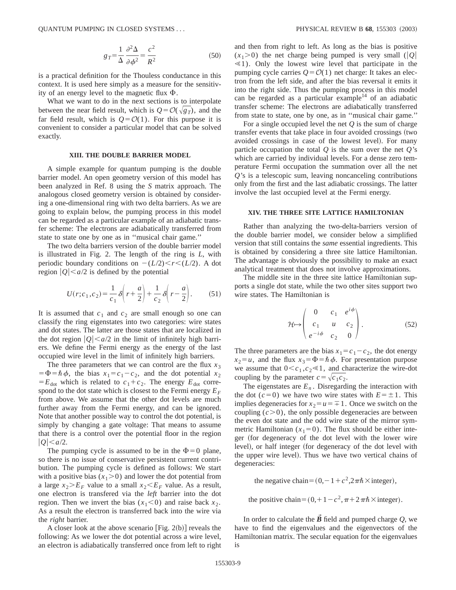$$
g_T = \frac{1}{\Delta} \frac{\partial^2 \Delta}{\partial \phi^2} = \frac{c^2}{R^2}
$$
 (50)

is a practical definition for the Thouless conductance in this context. It is used here simply as a measure for the sensitivity of an energy level to the magnetic flux  $\Phi$ .

What we want to do in the next sections is to interpolate between the near field result, which is  $Q = \mathcal{O}(\sqrt{g_T})$ , and the far field result, which is  $Q = \mathcal{O}(1)$ . For this purpose it is convenient to consider a particular model that can be solved exactly.

### **XIII. THE DOUBLE BARRIER MODEL**

A simple example for quantum pumping is the double barrier model. An open geometry version of this model has been analyzed in Ref. 8 using the *S* matrix approach. The analogous closed geometry version is obtained by considering a one-dimensional ring with two delta barriers. As we are going to explain below, the pumping process in this model can be regarded as a particular example of an adiabatic transfer scheme: The electrons are adiabatically transferred from state to state one by one as in ''musical chair game.''

The two delta barriers version of the double barrier model is illustrated in Fig. 2. The length of the ring is *L*, with periodic boundary conditions on  $-(L/2) \lt r \lt (L/2)$ . A dot region  $|Q| < a/2$  is defined by the potential

$$
U(r;c_1,c_2) = \frac{1}{c_1} \delta \left( r + \frac{a}{2} \right) + \frac{1}{c_2} \delta \left( r - \frac{a}{2} \right). \tag{51}
$$

It is assumed that  $c_1$  and  $c_2$  are small enough so one can classify the ring eigenstates into two categories: wire states and dot states. The latter are those states that are localized in the dot region  $|Q| < a/2$  in the limit of infinitely high barriers. We define the Fermi energy as the energy of the last occupied wire level in the limit of infinitely high barriers.

The three parameters that we can control are the flux  $x_3$  $= \Phi = \hbar \phi$ , the bias  $x_1 = c_1 - c_2$ , and the dot potential  $x_2$  $E_{dot}$  which is related to  $c_1+c_2$ . The energy  $E_{dot}$  correspond to the dot state which is closest to the Fermi energy  $E_F$ from above. We assume that the other dot levels are much further away from the Fermi energy, and can be ignored. Note that another possible way to control the dot potential, is simply by changing a gate voltage: That means to assume that there is a control over the potential floor in the region  $|Q| < a/2$ .

The pumping cycle is assumed to be in the  $\Phi=0$  plane, so there is no issue of conservative persistent current contribution. The pumping cycle is defined as follows: We start with a positive bias  $(x_1>0)$  and lower the dot potential from a large  $x_2 \ge E_F$  value to a small  $x_2 \le E_F$  value. As a result, one electron is transfered via the *left* barrier into the dot region. Then we invert the bias  $(x_1 < 0)$  and raise back  $x_2$ . As a result the electron is transferred back into the wire via the *right* barrier.

A closer look at the above scenario [Fig. 2(b)] reveals the following: As we lower the dot potential across a wire level, an electron is adiabatically transferred once from left to right and then from right to left. As long as the bias is positive  $(x_1>0)$  the net charge being pumped is very small (|Q|  $\leq 1$ ). Only the lowest wire level that participate in the pumping cycle carries  $Q = \mathcal{O}(1)$  net charge: It takes an electron from the left side, and after the bias reversal it emits it into the right side. Thus the pumping process in this model can be regarded as a particular example<sup>14</sup> of an adiabatic transfer scheme: The electrons are adiabatically transferred from state to state, one by one, as in ''musical chair game.''

For a single occupied level the net *Q* is the sum of charge transfer events that take place in four avoided crossings (two avoided crossings in case of the lowest level). For many particle occupation the total *Q* is the sum over the net *Q*'s which are carried by individual levels. For a dense zero temperature Fermi occupation the summation over all the net *Q*'s is a telescopic sum, leaving noncanceling contributions only from the first and the last adiabatic crossings. The latter involve the last occupied level at the Fermi energy.

### **XIV. THE THREE SITE LATTICE HAMILTONIAN**

Rather than analyzing the two-delta-barriers version of the double barrier model, we consider below a simplified version that still contains the *same* essential ingredients. This is obtained by considering a three site lattice Hamiltonian. The advantage is obviously the possibility to make an exact analytical treatment that does not involve approximations.

The middle site in the three site lattice Hamiltonian supports a single dot state, while the two other sites support two wire states. The Hamiltonian is

$$
\mathcal{H} \mapsto \begin{pmatrix} 0 & c_1 & e^{i\phi} \\ c_1 & u & c_2 \\ e^{-i\phi} & c_2 & 0 \end{pmatrix} . \tag{52}
$$

The three parameters are the bias  $x_1 = c_1 - c_2$ , the dot energy  $x_2 = u$ , and the flux  $x_3 = \Phi = \hbar \phi$ . For presentation purpose we assume that  $0 < c_1, c_2 \le 1$ , and characterize the wire-dot coupling by the parameter  $c = \sqrt{c_1 c_2}$ .

The eigenstates are  $E_n$ . Disregarding the interaction with the dot ( $c=0$ ) we have two wire states with  $E=\pm 1$ . This implies degeneracies for  $x_2 = u = 1$ . Once we switch on the coupling  $(c>0)$ , the only possible degeneracies are between the even dot state and the odd wire state of the mirror symmetric Hamiltonian  $(x_1=0)$ . The flux should be either integer (for degeneracy of the dot level with the lower wire level), or half integer (for degeneracy of the dot level with the upper wire level). Thus we have two vertical chains of degeneracies:

the negative chain= $(0,-1+c^2,2\pi\hbar\times \text{integer}),$ 

the positive chain= $(0,1-c^2,\pi+2\pi\hbar\times)$ integer.

In order to calculate the  $\vec{B}$  field and pumped charge  $Q$ , we have to find the eigenvalues and the eigenvectors of the Hamiltonian matrix. The secular equation for the eigenvalues is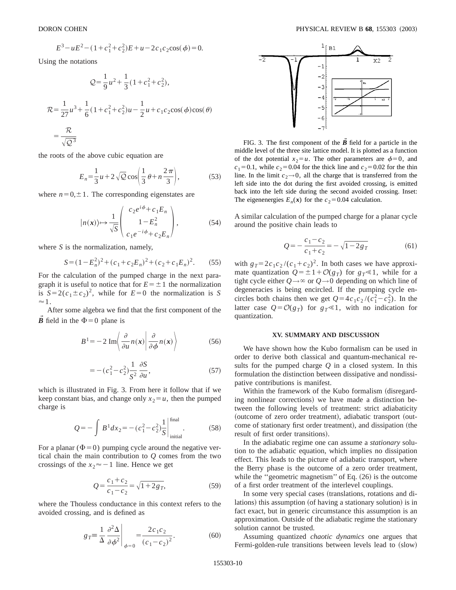$$
E^3 - uE^2 - (1 + c_1^2 + c_2^2)E + u - 2c_1c_2\cos(\phi) = 0.
$$

Using the notations

$$
Q = \frac{1}{9}u^2 + \frac{1}{3}(1+c_1^2+c_2^2),
$$
  

$$
\mathcal{R} = \frac{1}{27}u^3 + \frac{1}{6}(1+c_1^2+c_2^2)u - \frac{1}{2}u + c_1c_2\cos(\phi)\cos(\theta)
$$
  

$$
= \frac{\mathcal{R}}{\sqrt{162}}.
$$

 $\sqrt{Q^3}$ 

the roots of the above cubic equation are

$$
E_n = \frac{1}{3}u + 2\sqrt{Q}\cos\left(\frac{1}{3}\theta + n\frac{2\pi}{3}\right),\tag{53}
$$

where  $n=0,\pm 1$ . The corresponding eigenstates are

$$
|n(x)\rangle \mapsto \frac{1}{\sqrt{S}} \begin{pmatrix} c_2 e^{i\phi} + c_1 E_n \\ 1 - E_n^2 \\ c_1 e^{-i\phi} + c_2 E_n \end{pmatrix},
$$
 (54)

where *S* is the normalization, namely,

$$
S = (1 - E_n^2)^2 + (c_1 + c_2 E_n)^2 + (c_2 + c_1 E_n)^2.
$$
 (55)

For the calculation of the pumped charge in the next paragraph it is useful to notice that for  $E = \pm 1$  the normalization is  $S=2(c_1\pm c_2)^2$ , while for  $E=0$  the normalization is *S*  $\approx$  1.

After some algebra we find that the first component of the *B* field in the  $\Phi = 0$  plane is

$$
B^{1} = -2 \operatorname{Im} \left\langle \frac{\partial}{\partial u} n(x) \middle| \frac{\partial}{\partial \phi} n(x) \right\rangle \tag{56}
$$

$$
= -\left(c_1^2 - c_2^2\right) \frac{1}{S^2} \frac{\partial S}{\partial u},\tag{57}
$$

which is illustrated in Fig. 3. From here it follow that if we keep constant bias, and change only  $x_2 = u$ , then the pumped charge is

$$
Q = -\int B^1 dx_2 = -(c_1^2 - c_2^2) \frac{1}{S} \Big|_{\text{initial}}^{\text{final}}.
$$
 (58)

For a planar ( $\Phi$ =0) pumping cycle around the negative vertical chain the main contribution to *Q* comes from the two crossings of the  $x_2 \approx -1$  line. Hence we get

$$
Q = \frac{c_1 + c_2}{c_1 - c_2} = \sqrt{1 + 2g_T},
$$
\n(59)

where the Thouless conductance in this context refers to the avoided crossing, and is defined as

$$
g_T \equiv \frac{1}{\Delta} \left. \frac{\partial^2 \Delta}{\partial \phi^2} \right|_{\phi = 0} = \frac{2c_1 c_2}{(c_1 - c_2)^2}.
$$
 (60)



FIG. 3. The first component of the  $\vec{B}$  field for a particle in the middle level of the three site lattice model. It is plotted as a function of the dot potential  $x_2 = u$ . The other parameters are  $\phi = 0$ , and  $c_1=0.1$ , while  $c_2=0.04$  for the thick line and  $c_2=0.02$  for the thin line. In the limit  $c_2 \rightarrow 0$ , all the charge that is transferred from the left side into the dot during the first avoided crossing, is emitted back into the left side during the second avoided crossing. Inset: The eigenenergies  $E_n(x)$  for the  $c_2=0.04$  calculation.

A similar calculation of the pumped charge for a planar cycle around the positive chain leads to

$$
Q = -\frac{c_1 - c_2}{c_1 + c_2} = -\sqrt{1 - 2g_T} \tag{61}
$$

with  $g_T=2c_1c_2/(c_1+c_2)^2$ . In both cases we have approximate quantization  $Q = \pm 1 + \mathcal{O}(g_T)$  for  $g_T \ll 1$ , while for a tight cycle either  $Q \rightarrow \infty$  or  $Q \rightarrow 0$  depending on which line of degeneracies is being encircled. If the pumping cycle encircles both chains then we get  $Q = 4c_1c_2/(c_1^2 - c_2^2)$ . In the latter case  $Q = \mathcal{O}(g_T)$  for  $g_T \ll 1$ , with no indication for quantization.

#### **XV. SUMMARY AND DISCUSSION**

We have shown how the Kubo formalism can be used in order to derive both classical and quantum-mechanical results for the pumped charge *Q* in a closed system. In this formulation the distinction between dissipative and nondissipative contributions is manifest.

Within the framework of the Kubo formalism (disregarding nonlinear corrections) we have made a distinction between the following levels of treatment: strict adiabaticity (outcome of zero order treatment), adiabatic transport (outcome of stationary first order treatment), and dissipation (the result of first order transitions).

In the adiabatic regime one can assume a *stationary* solution to the adiabatic equation, which implies no dissipation effect. This leads to the picture of adiabatic transport, where the Berry phase is the outcome of a zero order treatment, while the "geometric magnetism" of Eq.  $(26)$  is the outcome of a first order treatment of the interlevel couplings.

In some very special cases (translations, rotations and dilations) this assumption (of having a stationary solution) is in fact exact, but in generic circumstance this assumption is an approximation. Outside of the adiabatic regime the stationary solution cannot be trusted.

Assuming quantized *chaotic dynamics* one argues that Fermi-golden-rule transitions between levels lead to (slow)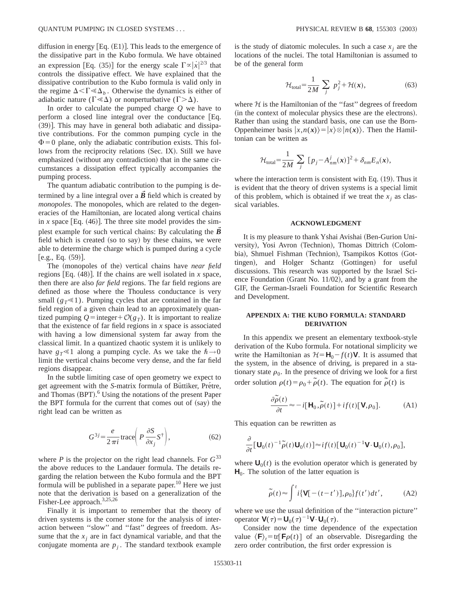diffusion in energy  $[Eq. (E1)]$ . This leads to the emergence of the dissipative part in the Kubo formula. We have obtained an expression [Eq. (35)] for the energy scale  $\Gamma \propto |\dot{x}|^{2/3}$  that controls the dissipative effect. We have explained that the dissipative contribution to the Kubo formula is valid only in the regime  $\Delta < \Gamma \ll \Delta_h$ . Otherwise the dynamics is either of adiabatic nature ( $\Gamma \ll \Delta$ ) or nonperturbative ( $\Gamma > \Delta$ ).

In order to calculate the pumped charge *Q* we have to perform a closed line integral over the conductance  $[Eq.$  $(39)$ ]. This may have in general both adiabatic and dissipative contributions. For the common pumping cycle in the  $\Phi$ =0 plane, only the adiabatic contribution exists. This follows from the reciprocity relations (Sec. IX). Still we have emphasized (without any contradiction) that in the same circumstances a dissipation effect typically accompanies the pumping process.

The quantum adiabatic contribution to the pumping is determined by a line integral over a  $\vec{B}$  field which is created by *monopoles*. The monopoles, which are related to the degeneracies of the Hamiltonian, are located along vertical chains in *x* space [Eq.  $(46)$ ]. The three site model provides the simplest example for such vertical chains: By calculating the  $\vec{B}$ field which is created (so to say) by these chains, we were able to determine the charge which is pumped during a cycle  $[e.g., Eq. (59)].$ 

The (monopoles of the) vertical chains have *near field* regions [Eq.  $(48)$ ]. If the chains are well isolated in *x* space, then there are also *far field* regions. The far field regions are defined as those where the Thouless conductance is very small  $(g_T \ll 1)$ . Pumping cycles that are contained in the far field region of a given chain lead to an approximately quantized pumping  $Q = \text{integer} + \mathcal{O}(g_T)$ . It is important to realize that the existence of far field regions in *x* space is associated with having a low dimensional system far away from the classical limit. In a quantized chaotic system it is unlikely to have  $g_T \le 1$  along a pumping cycle. As we take the  $\hbar \rightarrow 0$ limit the vertical chains become very dense, and the far field regions disappear.

In the subtle limiting case of open geometry we expect to get agreement with the *S*-matrix formula of Büttiker, Prétre, and Thomas  $(BPT)$ .<sup>6</sup> Using the notations of the present Paper the BPT formula for the current that comes out of  $(say)$  the right lead can be written as

$$
G^{3j} = \frac{e}{2\pi i} \operatorname{trace} \left( P \frac{\partial S}{\partial x_j} S^{\dagger} \right),\tag{62}
$$

where *P* is the projector on the right lead channels. For  $G^{33}$ the above reduces to the Landauer formula. The details regarding the relation between the Kubo formula and the BPT formula will be published in a separate paper.<sup>10</sup> Here we just note that the derivation is based on a generalization of the Fisher-Lee approach.<sup>3,25,26</sup>

Finally it is important to remember that the theory of driven systems is the corner stone for the analysis of interaction between ''slow'' and ''fast'' degrees of freedom. Assume that the  $x_j$  are in fact dynamical variable, and that the conjugate momenta are  $p_i$ . The standard textbook example is the study of diatomic molecules. In such a case  $x_i$  are the locations of the nuclei. The total Hamiltonian is assumed to be of the general form

$$
\mathcal{H}_{\text{total}} = \frac{1}{2M} \sum_{j} p_j^2 + \mathcal{H}(x), \tag{63}
$$

where  $H$  is the Hamiltonian of the "fast" degrees of freedom (in the context of molecular physics these are the electrons). Rather than using the standard basis, one can use the Born-Oppenheimer basis  $|x, n(x)\rangle = |x\rangle \otimes |n(x)\rangle$ . Then the Hamiltonian can be written as

$$
\mathcal{H}_{\text{total}} = \frac{1}{2M} \sum_{j} [p_j - A_{nm}^j(\mathbf{x})]^2 + \delta_{nm} E_n(\mathbf{x}),
$$

where the interaction term is consistent with Eq.  $(19)$ . Thus it is evident that the theory of driven systems is a special limit of this problem, which is obtained if we treat the  $x_i$  as classical variables.

#### **ACKNOWLEDGMENT**

It is my pleasure to thank Yshai Avishai (Ben-Gurion University), Yosi Avron (Technion), Thomas Dittrich (Colombia), Shmuel Fishman (Technion), Tsampikos Kottos (Gottingen), and Holger Schantz (Gottingen) for useful discussions. This research was supported by the Israel Science Foundation (Grant No.  $11/02$ ), and by a grant from the GIF, the German-Israeli Foundation for Scientific Research and Development.

# **APPENDIX A: THE KUBO FORMULA: STANDARD DERIVATION**

In this appendix we present an elementary textbook-style derivation of the Kubo formula. For notational simplicity we write the Hamiltonian as  $\mathcal{H} = \mathbf{H}_0 - f(t)\mathbf{V}$ . It is assumed that the system, in the absence of driving, is prepared in a stationary state  $\rho_0$ . In the presence of driving we look for a first order solution  $\rho(t) = \rho_0 + \tilde{\rho}(t)$ . The equation for  $\tilde{\rho}(t)$  is

$$
\frac{\partial \widetilde{\rho}(t)}{\partial t} \approx -i[\mathbf{H}_0, \widetilde{\rho}(t)] + if(t)[\mathbf{V}, \rho_0].
$$
 (A1)

This equation can be rewritten as

$$
\frac{\partial}{\partial t} [\mathbf{U}_0(t)^{-1} \widetilde{\rho}(t) \mathbf{U}_0(t)] \approx i f(t) [\mathbf{U}_0(t)^{-1} \mathbf{V} \cdot \mathbf{U}_0(t), \rho_0],
$$

where  $U_0(t)$  is the evolution operator which is generated by  $H_0$ . The solution of the latter equation is

$$
\tilde{\rho}(t) \approx \int^t i \{ \mathbf{V}[-(t-t')] , \rho_0 \} f(t') dt', \tag{A2}
$$

where we use the usual definition of the ''interaction picture'' operator  $\mathbf{V}(\tau) = \mathbf{U}_0(\tau)^{-1} \mathbf{V} \cdot \mathbf{U}_0(\tau)$ .

Consider now the time dependence of the expectation value  $\langle \mathbf{F} \rangle_t = \text{tr}[\mathbf{F}\rho(t)]$  of an observable. Disregarding the zero order contribution, the first order expression is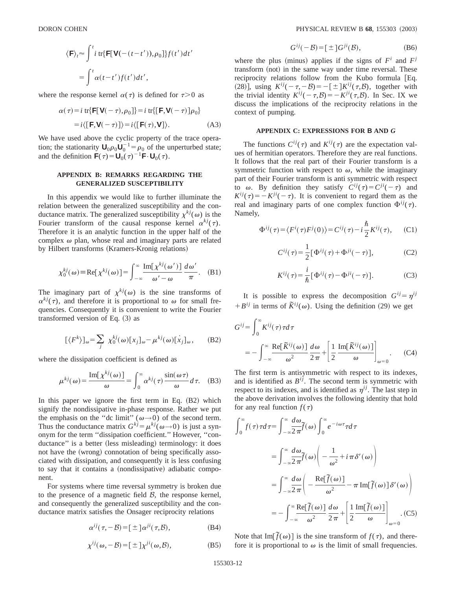$$
\langle \mathbf{F} \rangle_t \approx \int^t i \, \text{tr} \{ \mathbf{F}[\mathbf{V}(-(t-t')), \rho_0] \} f(t') \, dt' \n= \int^t \alpha(t-t') f(t') \, dt',
$$

where the response kernel  $\alpha(\tau)$  is defined for  $\tau > 0$  as

$$
\alpha(\tau) = i \operatorname{tr} \{ \mathbf{F}[\mathbf{V}(-\tau), \rho_0] \} = i \operatorname{tr} \{ [\mathbf{F}, \mathbf{V}(-\tau)] \rho_0 \}
$$

$$
= i \langle [\mathbf{F}, \mathbf{V}(-\tau)] \rangle = i \langle [\mathbf{F}(\tau), \mathbf{V}] \rangle. \tag{A3}
$$

We have used above the cyclic property of the trace operation; the stationarity  $U_0 \rho_0 U_0^{-1} = \rho_0$  of the unperturbed state; and the definition  $\mathbf{F}(\tau) = \mathbf{U}_0(\tau)^{-1}\mathbf{F} \cdot \mathbf{U}_0(\tau)$ .

## **APPENDIX B: REMARKS REGARDING THE GENERALIZED SUSCEPTIBILITY**

In this appendix we would like to further illuminate the relation between the generalized susceptibility and the conductance matrix. The generalized susceptibility  $\chi^{kj}(\omega)$  is the Fourier transform of the causal response kernel  $\alpha^{kj}(\tau)$ . Therefore it is an analytic function in the upper half of the complex  $\omega$  plan, whose real and imaginary parts are related by Hilbert transforms (Kramers-Kronig relations)

$$
\chi_0^{kj}(\omega) = \text{Re}[\chi^{kj}(\omega)] = \int_{-\infty}^{\infty} \frac{\text{Im}[\chi^{kj}(\omega')]}{\omega' - \omega} \frac{d\omega'}{\pi}.
$$
 (B1)

The imaginary part of  $\chi^{kj}(\omega)$  is the sine transforms of  $\alpha^{kj}(\tau)$ , and therefore it is proportional to  $\omega$  for small frequencies. Consequently it is convenient to write the Fourier transformed version of Eq.  $(3)$  as

$$
[\langle F^k \rangle]_{\omega} = \sum_j \chi_0^{kj}(\omega) [x_j]_{\omega} - \mu^{kj}(\omega) [x_j]_{\omega}, \quad (B2)
$$

where the dissipation coefficient is defined as

$$
\mu^{kj}(\omega) = \frac{\text{Im}[\chi^{kj}(\omega)]}{\omega} = \int_0^\infty \alpha^{kj}(\tau) \frac{\sin(\omega \tau)}{\omega} d\tau. \quad (B3)
$$

In this paper we ignore the first term in Eq.  $(B2)$  which signify the nondissipative in-phase response. Rather we put the emphasis on the "dc limit" ( $\omega \rightarrow 0$ ) of the second term. Thus the conductance matrix  $G^{kj} = \mu^{kj}(\omega \rightarrow 0)$  is just a synonym for the term ''dissipation coefficient.'' However, ''conductance" is a better (less misleading) terminology: it does not have the (wrong) connotation of being specifically associated with dissipation, and consequently it is less confusing to say that it contains a (nondissipative) adiabatic component.

For systems where time reversal symmetry is broken due to the presence of a magnetic field  $\beta$ , the response kernel, and consequently the generalized susceptibility and the conductance matrix satisfies the Onsager reciprocity relations

$$
\alpha^{ij}(\tau, -\mathcal{B}) = [\pm] \alpha^{ji}(\tau, \mathcal{B}), \tag{B4}
$$

$$
\chi^{ij}(\omega, -\mathcal{B}) = [\pm] \chi^{ji}(\omega, \mathcal{B}), \tag{B5}
$$

$$
G^{ij}(-\mathcal{B}) = \left[\pm\right] G^{ji}(\mathcal{B}),\tag{B6}
$$

where the plus (minus) applies if the signs of  $F^i$  and  $F^j$ transform (not) in the same way under time reversal. These reciprocity relations follow from the Kubo formula [Eq. (28)], using  $K^{ij}(-\tau, -\mathcal{B}) = -[\pm]K^{ij}(\tau, \mathcal{B})$ , together with the trivial identity  $K^{ij}(-\tau,\mathcal{B})=-K^{ji}(\tau,\mathcal{B})$ . In Sec. IX we discuss the implications of the reciprocity relations in the context of pumping.

## **APPENDIX C: EXPRESSIONS FOR B AND** *G*

The functions  $C^{ij}(\tau)$  and  $K^{ij}(\tau)$  are the expectation values of hermitian operators. Therefore they are real functions. It follows that the real part of their Fourier transform is a symmetric function with respect to  $\omega$ , while the imaginary part of their Fourier transform is anti symmetric with respect to  $\omega$ . By definition they satisfy  $C^{ij}(\tau) = C^{ji}(-\tau)$  and  $K^{ij}(\tau) = -K^{ji}(-\tau)$ . It is convenient to regard them as the real and imaginary parts of one complex function  $\Phi^{ij}(\tau)$ . Namely,

$$
\Phi^{ij}(\tau) = \langle F^i(\tau) F^j(0) \rangle = C^{ij}(\tau) - i \frac{\hbar}{2} K^{ij}(\tau), \quad (C1)
$$

$$
C^{ij}(\tau) = \frac{1}{2} [\Phi^{ij}(\tau) + \Phi^{ji}(-\tau)],
$$
 (C2)

$$
K^{ij}(\tau) = \frac{i}{\hbar} [\Phi^{ij}(\tau) - \Phi^{ji}(-\tau)].
$$
 (C3)

It is possible to express the decomposition  $G^{ij} = \eta^{ij}$  $+ B^{ij}$  in terms of  $\tilde{K}^{ij}(\omega)$ . Using the definition (29) we get

$$
G^{ij} = \int_0^\infty K^{ij}(\tau) \tau d\tau
$$
  
= 
$$
- \int_{-\infty}^\infty \frac{\text{Re}[\tilde{K}^{ij}(\omega)]}{\omega^2} \frac{d\omega}{2\pi} + \left[ \frac{1}{2} \frac{\text{Im}[\tilde{K}^{ij}(\omega)]}{\omega} \right]_{\omega=0}.
$$
 (C4)

The first term is antisymmetric with respect to its indexes, and is identified as  $B^{ij}$ . The second term is symmetric with respect to its indexes, and is identified as  $\eta^{ij}$ . The last step in the above derivation involves the following identity that hold for any real function  $f(\tau)$ 

$$
\int_0^{\infty} f(\tau) \tau d\tau = \int_{-\infty}^{\infty} \frac{d\omega}{2\pi} \tilde{f}(\omega) \int_0^{\infty} e^{-i\omega\tau} \tau d\tau
$$

$$
= \int_{-\infty}^{\infty} \frac{d\omega}{2\pi} \tilde{f}(\omega) \left( -\frac{1}{\omega^2} + i\pi \delta'(\omega) \right)
$$

$$
= \int_{-\infty}^{\infty} \frac{d\omega}{2\pi} \left( -\frac{\text{Re}[\tilde{f}(\omega)]}{\omega^2} - \pi \text{Im}[\tilde{f}(\omega)] \delta'(\omega) \right)
$$

$$
= -\int_{-\infty}^{\infty} \frac{\text{Re}[\tilde{f}(\omega)]}{\omega^2} \frac{d\omega}{2\pi} + \left[ \frac{1}{2} \frac{\text{Im}[\tilde{f}(\omega)]}{\omega} \right]_{\omega=0} . (C5)
$$

Note that  $Im[\tilde{f}(\omega)]$  is the sine transform of  $f(\tau)$ , and therefore it is proportional to  $\omega$  is the limit of small frequencies.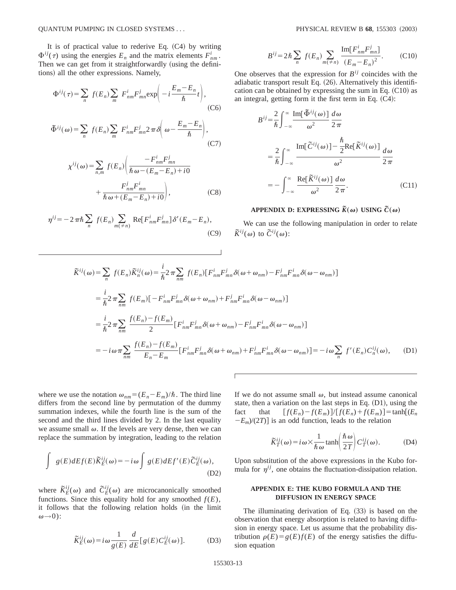It is of practical value to rederive Eq.  $(C4)$  by writing  $\Phi^{ij}(\tau)$  using the energies  $E_n$  and the matrix elements  $F^i_{nm}$ . Then we can get from it straightforwardly (using the definitions) all the other expressions. Namely,

$$
\Phi^{ij}(\tau) = \sum_{n} f(E_n) \sum_{m} F_{nm}^{i} F_{mn}^{j} \exp\left(-i\frac{E_m - E_n}{\hbar}t\right),\tag{C6}
$$

$$
\tilde{\Phi}^{ij}(\omega) = \sum_{n} f(E_n) \sum_{m} F_{nm}^{i} F_{mn}^{j} 2 \pi \delta \left( \omega - \frac{E_m - E_n}{\hbar} \right), \tag{C7}
$$

$$
\chi^{ij}(\omega) = \sum_{n,m} f(E_n) \left( \frac{-F_{nm}^i F_{mn}^j}{\hbar \omega - (E_m - E_n) + i0} + \frac{F_{nm}^j F_{mn}^i}{\hbar \omega + (E_m - E_n) + i0} \right),
$$
 (C8)

$$
\eta^{ij} = -2\pi\hbar\sum_{n} f(E_n) \sum_{m(\neq n)} \text{Re}[F_{nm}^i F_{mn}^j] \delta'(E_m - E_n),
$$
\n(C9)

$$
B^{ij} = 2\hbar \sum_{n} f(E_n) \sum_{m(\neq n)} \frac{\text{Im}[F_{nm}^i F_{mn}^j]}{(E_m - E_n)^2}.
$$
 (C10)

One observes that the expression for  $B^{ij}$  coincides with the adiabatic transport result Eq.  $(26)$ . Alternatively this identification can be obtained by expressing the sum in Eq.  $(C10)$  as an integral, getting form it the first term in Eq.  $(C4)$ :

$$
B^{ij} = \frac{2}{\hbar} \int_{-\infty}^{\infty} \frac{\text{Im}[\,\Phi^{ij}(\omega)]}{\omega^2} \frac{d\omega}{2\pi}
$$
  

$$
= \frac{2}{\hbar} \int_{-\infty}^{\infty} \frac{\text{Im}[\,\tilde{C}^{ij}(\omega)] - \frac{\hbar}{2} \text{Re}[\,\tilde{K}^{ij}(\omega)]}{\omega^2} \frac{d\omega}{2\pi}
$$
  

$$
= -\int_{-\infty}^{\infty} \frac{\text{Re}[\,\tilde{K}^{ij}(\omega)]}{\omega^2} \frac{d\omega}{2\pi}.
$$
 (C11)

# **APPENDIX D: EXPRESSING**  $\widetilde{K}(\omega)$  USING  $\widetilde{C}(\omega)$

We can use the following manipulation in order to relate  $\tilde{K}^{ij}(\omega)$  to  $\tilde{C}^{ij}(\omega)$ :

$$
\widetilde{K}^{ij}(\omega) = \sum_{n} f(E_n) \widetilde{K}_n^{ij}(\omega) = \frac{i}{\hbar} 2 \pi \sum_{nm} f(E_n) [F_{nm}^i F_{mn}^j \delta(\omega + \omega_{nm}) - F_{nm}^j F_{mn}^i \delta(\omega - \omega_{nm})]
$$
\n
$$
= \frac{i}{\hbar} 2 \pi \sum_{nm} f(E_m) [-F_{nm}^i F_{mn}^j \delta(\omega + \omega_{nm}) + F_{nm}^j F_{mn}^i \delta(\omega - \omega_{nm})]
$$
\n
$$
= \frac{i}{\hbar} 2 \pi \sum_{nm} \frac{f(E_n) - f(E_m)}{2} [F_{nm}^i F_{mn}^j \delta(\omega + \omega_{nm}) - F_{nm}^j F_{mn}^i \delta(\omega - \omega_{nm})]
$$
\n
$$
= -i \omega \pi \sum_{nm} \frac{f(E_n) - f(E_m)}{E_n - E_m} [F_{nm}^i F_{mn}^j \delta(\omega + \omega_{nm}) + F_{nm}^j F_{mn}^i \delta(\omega - \omega_{nm})] = -i \omega \sum_{n} f'(E_n) C_n^{ij}(\omega), \quad (D1)
$$

where we use the notation  $\omega_{nm} = (E_n - E_m)/\hbar$ . The third line differs from the second line by permutation of the dummy summation indexes, while the fourth line is the sum of the second and the third lines divided by 2. In the last equality we assume small  $\omega$ . If the levels are very dense, then we can replace the summation by integration, leading to the relation

$$
\int g(E)dE f(E)\widetilde{K}_{E}^{ij}(\omega) = -i\omega \int g(E)dE f'(E)\widetilde{C}_{E}^{ij}(\omega),
$$
\n(D2)

where  $\tilde{K}_{E}^{ij}(\omega)$  and  $\tilde{C}_{E}^{ij}(\omega)$  are microcanonically smoothed functions. Since this equality hold for any smoothed  $f(E)$ , it follows that the following relation holds (in the limit  $\omega\rightarrow 0$ ):

$$
\widetilde{K}_{E}^{ij}(\omega) = i\omega \frac{1}{g(E)} \frac{d}{dE} [g(E) C_{E}^{ij}(\omega)].
$$
 (D3)

If we do not assume small  $\omega$ , but instead assume canonical state, then a variation on the last steps in Eq.  $(D1)$ , using the fact that  $[f(E_n)-f(E_m)]/[f(E_n)+f(E_m)] = \tanh[(E_n)]$  $-E_m/(2T)$  is an odd function, leads to the relation

$$
\widetilde{K}_T^{ij}(\omega) = i\,\omega \times \frac{1}{\hbar\,\omega} \tanh\left(\frac{\hbar\,\omega}{2\,T}\right) C_T^{ij}(\omega). \tag{D4}
$$

Upon substitution of the above expressions in the Kubo formula for  $\eta^{ij}$ , one obtains the fluctuation-dissipation relation.

## **APPENDIX E: THE KUBO FORMULA AND THE DIFFUSION IN ENERGY SPACE**

The illuminating derivation of Eq.  $(33)$  is based on the observation that energy absorption is related to having diffusion in energy space. Let us assume that the probability distribution  $\rho(E) = g(E)f(E)$  of the energy satisfies the diffusion equation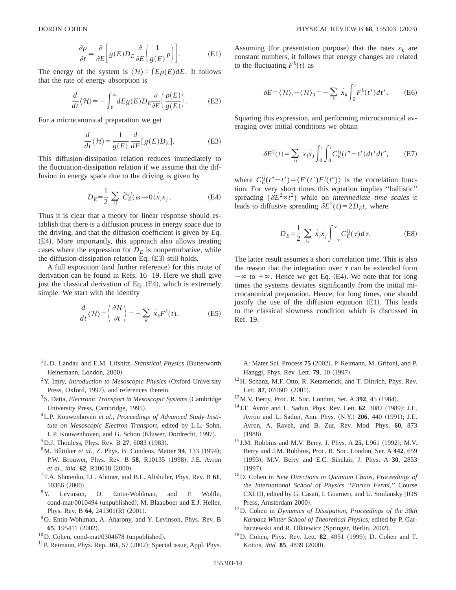$$
\frac{\partial \rho}{\partial t} = \frac{\partial}{\partial E} \left[ g(E) D_E \frac{\partial}{\partial E} \left( \frac{1}{g(E)} \rho \right) \right].
$$
 (E1)

The energy of the system is  $\langle H \rangle = \int E \rho(E) dE$ . It follows that the rate of energy absorption is

$$
\frac{d}{dt}\langle \mathcal{H} \rangle = -\int_0^\infty dE g(E) D_E \frac{\partial}{\partial E} \left( \frac{\rho(E)}{g(E)} \right). \tag{E2}
$$

For a microcanonical preparation we get

$$
\frac{d}{dt}\langle \mathcal{H} \rangle = \frac{1}{g(E)} \frac{d}{dE} [g(E)D_E].
$$
 (E3)

This diffusion-dissipation relation reduces immediately to the fluctuation-dissipation relation if we assume that the diffusion in energy space due to the driving is given by

$$
D_E = \frac{1}{2} \sum_{ij} \tilde{C}_E^{ij}(\omega \to 0) \dot{x}_i \dot{x}_j.
$$
 (E4)

Thus it is clear that a theory for linear response should establish that there is a diffusion process in energy space due to the driving, and that the diffusion coefficient is given by Eq.  $(E4)$ . More importantly, this approach also allows treating cases where the expression for  $D<sub>E</sub>$  is nonperturbative, while the diffusion-dissipation relation Eq.  $(E3)$  still holds.

A full exposition (and further reference) for this route of derivation can be found in Refs. 16–19. Here we shall give just the classical derivation of Eq. (E4), which is extremely simple. We start with the identity

$$
\frac{d}{dt}\langle \mathcal{H} \rangle = \left\langle \frac{\partial \mathcal{H}}{\partial t} \right\rangle = -\sum_{k} \dot{x}_{k} F^{k}(t). \tag{E5}
$$

- <sup>1</sup> L.D. Landau and E.M. Lifshitz, *Statistical Physics* (Butterworth Heinemann, London, 2000).
- <sup>2</sup>Y. Imry, *Introduction to Mesoscopic Physics* (Oxford University Press, Oxford, 1997), and references therein.
- <sup>3</sup> S. Datta, *Electronic Transport in Mesoscopic Systems* (Cambridge University Press, Cambridge, 1995).
- 4L.P. Kouwenhoven *et al.*, *Proceedings of Advanced Study Institute on Mesoscopic Electron Transport*, edited by L.L. Sohn, L.P. Kouwenhoven, and G. Schon (Kluwer, Dordrecht, 1997).
- ${}^{5}$ D.J. Thouless, Phys. Rev. B 27, 6083 (1983).
- <sup>6</sup>M. Büttiker et al., Z. Phys. B: Condens. Matter 94, 133 (1994); P.W. Brouwer, Phys. Rev. B 58, R10135 (1998); J.E. Avron *et al., ibid.* **62**, R10618 (2000).
- 7T.A. Shutenko, I.L. Aleiner, and B.L. Altshuler, Phys. Rev. B **61**,  $^{10366}$  (2000).<br><sup>8</sup> Y. Levinson,
- Levinson, O. Entin-Wohlman, and P. Wolfle, cond-mat/0010494 (unpublished); M. Blaauboer and E.J. Heller, Phys. Rev. B 64, 241301(R) (2001).
- <sup>9</sup>O. Entin-Wohlman, A. Aharony, and Y. Levinson, Phys. Rev. B **65**, 195411 (2002).
- $10$ D. Cohen, cond-mat/0304678 (unpublished).
- $11$  P. Reimann, Phys. Rep. 361, 57  $(2002)$ ; Special issue, Appl. Phys.

Assuming (for presentation purpose) that the rates  $x_k$  are constant numbers, it follows that energy changes are related to the fluctuating  $F^k(t)$  as

$$
\delta E = \langle \mathcal{H} \rangle_t - \langle \mathcal{H} \rangle_0 = -\sum_k \dot{x}_k \int_0^t F^k(t') dt'.
$$
 (E6)

Squaring this expression, and performing microcanonical averaging over initial conditions we obtain

$$
\delta E^{2}(t) = \sum_{ij} \dot{x}_{i} \dot{x}_{j} \int_{0}^{t} \int_{0}^{t} C_{E}^{ij}(t'' - t') dt' dt'', \qquad (E7)
$$

where  $C_E^{ij}(t'' - t') = \langle F^i(t')F^j(t'') \rangle$  is the correlation function. For very short times this equation implies ''ballistic'' spreading ( $\delta E^2 \propto t^2$ ) while on *intermediate time scales* it leads to diffusive spreading  $\delta E^2(t) = 2D_E t$ , where

$$
D_E = \frac{1}{2} \sum_{ij} \dot{x}_i \dot{x}_j \int_{-\infty}^{\infty} C_E^{ij}(\tau) d\tau.
$$
 (E8)

The latter result assumes a short correlation time. This is also the reason that the integration over  $\tau$  can be extended form  $-\infty$  to  $+\infty$ . Hence we get Eq. (E4). We note that for long times the systems deviates significantly from the initial microcanonical preparation. Hence, for long times, one should justify the use of the diffusion equation  $(E1)$ . This leads to the classical slowness condition which is discussed in Ref. 19.

A: Mater Sci. Process 75 (2002). P. Reimann, M. Grifoni, and P. Hanggi, Phys. Rev. Lett. **79**, 10 (1997).

- 12H. Schanz, M.F. Otto, R. Ketzmerick, and T. Dittrich, Phys. Rev. Lett. 87, 070601 (2001).
- <sup>13</sup> M.V. Berry, Proc. R. Soc. London, Ser. A **392**, 45 (1984).
- <sup>14</sup> J.E. Avron and L. Sadun, Phys. Rev. Lett. **62**, 3082 (1989); J.E. Avron and L. Sadun, Ann. Phys. (N.Y.) **206**, 440 (1991); J.E. Avron, A. Raveh, and B. Zur, Rev. Mod. Phys. **60**, 873  $(1988).$
- <sup>15</sup> J.M. Robbins and M.V. Berry, J. Phys. A **25**, L961 (1992); M.V. Berry and J.M. Robbins, Proc. R. Soc. London, Ser. A **442**, 659 ~1993!; M.V. Berry and E.C. Sinclair, J. Phys. A **30**, 2853  $(1997).$
- 16D. Cohen in *New Directions in Quantum Chaos*, *Proceedings of the International School of Physics* ''*Enrico Fermi*,'' Course CXLIII, edited by G. Casati, I. Guarneri, and U. Smilansky (IOS Press, Amsterdam 2000).
- 17D. Cohen in *Dynamics of Dissipation*, *Proceedings of the 38th Karpacz Winter School of Theoretical Physics*, edited by P. Garbaczewski and R. Olkiewicz (Springer, Berlin, 2002).
- <sup>18</sup>D. Cohen, Phys. Rev. Lett. **82**, 4951 (1999); D. Cohen and T. Kottos, *ibid.* **85**, 4839 (2000).